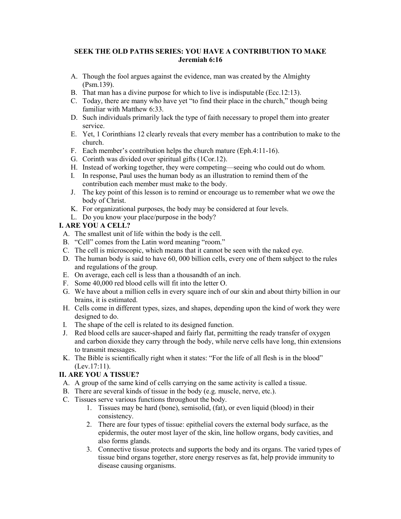#### **SEEK THE OLD PATHS SERIES: YOU HAVE A CONTRIBUTION TO MAKE Jeremiah 6:16**

- A. Though the fool argues against the evidence, man was created by the Almighty (Psm.139).
- B. That man has a divine purpose for which to live is indisputable (Ecc.12:13).
- C. Today, there are many who have yet "to find their place in the church," though being familiar with Matthew 6:33.
- D. Such individuals primarily lack the type of faith necessary to propel them into greater service.
- E. Yet, 1 Corinthians 12 clearly reveals that every member has a contribution to make to the church.
- F. Each member's contribution helps the church mature (Eph.4:11-16).
- G. Corinth was divided over spiritual gifts (1Cor.12).
- H. Instead of working together, they were competing—seeing who could out do whom.
- I. In response, Paul uses the human body as an illustration to remind them of the contribution each member must make to the body.
- J. The key point of this lesson is to remind or encourage us to remember what we owe the body of Christ.
- K. For organizational purposes, the body may be considered at four levels.
- L. Do you know your place/purpose in the body?

### **I. ARE YOU A CELL?**

- A. The smallest unit of life within the body is the cell.
- B. "Cell" comes from the Latin word meaning "room."
- C. The cell is microscopic, which means that it cannot be seen with the naked eye.
- D. The human body is said to have 60, 000 billion cells, every one of them subject to the rules and regulations of the group.
- E. On average, each cell is less than a thousandth of an inch.
- F. Some 40,000 red blood cells will fit into the letter O.
- G. We have about a million cells in every square inch of our skin and about thirty billion in our brains, it is estimated.
- H. Cells come in different types, sizes, and shapes, depending upon the kind of work they were designed to do.
- I. The shape of the cell is related to its designed function.
- J. Red blood cells are saucer-shaped and fairly flat, permitting the ready transfer of oxygen and carbon dioxide they carry through the body, while nerve cells have long, thin extensions to transmit messages.
- K. The Bible is scientifically right when it states: "For the life of all flesh is in the blood" (Lev.17:11).

# **II. ARE YOU A TISSUE?**

- A. A group of the same kind of cells carrying on the same activity is called a tissue.
- B. There are several kinds of tissue in the body (e.g. muscle, nerve, etc.).
- C. Tissues serve various functions throughout the body.
	- 1. Tissues may be hard (bone), semisolid, (fat), or even liquid (blood) in their consistency.
	- 2. There are four types of tissue: epithelial covers the external body surface, as the epidermis, the outer most layer of the skin, line hollow organs, body cavities, and also forms glands.
	- 3. Connective tissue protects and supports the body and its organs. The varied types of tissue bind organs together, store energy reserves as fat, help provide immunity to disease causing organisms.